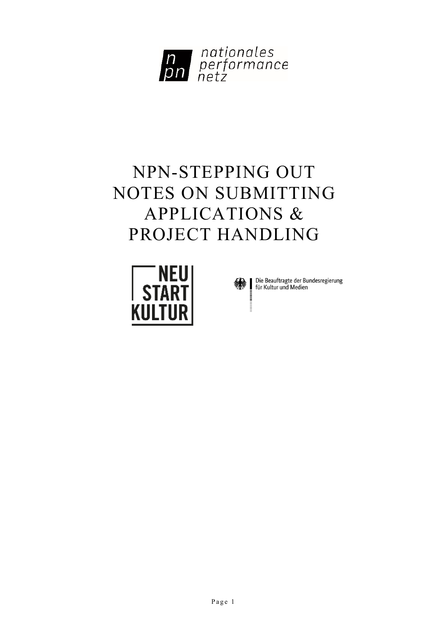

# NPN-STEPPING OUT NOTES ON SUBMITTING APPLICATIONS & PROJECT HANDLING





Die Beauftragte der Bundesregierung<br>für Kultur und Medien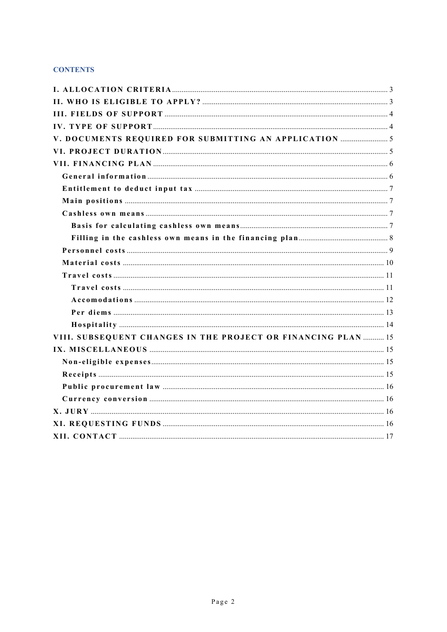# **CONTENTS**

| VIII. SUBSEQUENT CHANGES IN THE PROJECT OR FINANCING PLAN  15 |  |
|---------------------------------------------------------------|--|
|                                                               |  |
|                                                               |  |
|                                                               |  |
|                                                               |  |
|                                                               |  |
|                                                               |  |
|                                                               |  |
|                                                               |  |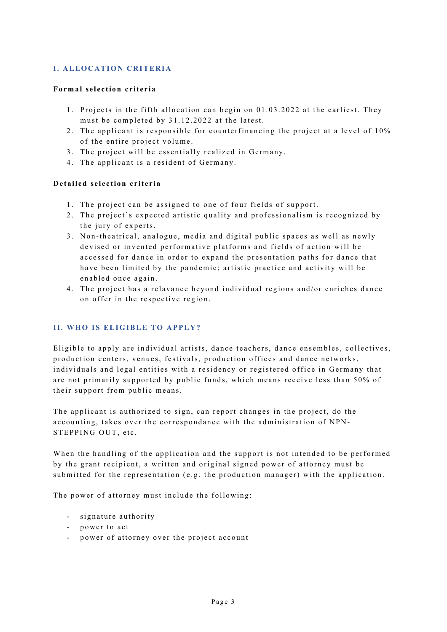# <span id="page-2-0"></span>**I. ALLOCATION CRITERIA**

## **Formal selection criteria**

- 1 . Projects in the fifth allocation can begin on 01.03.2022 at the earliest. They must be completed by 31.12.2022 at the latest.
- 2 . The applicant is responsible for counterfinancing the project at a level of 10% of the entire project volume .
- 3. The project will be essentially realized in Germany.
- 4. The applicant is a resident of Germany.

## **Detailed selection criteria**

- 1. The project can be assigned to one of four fields of support.
- 2 . The project's expected artistic quality and professionalism is recognized by the jury of experts.
- 3 . Non -theatrical, analogue, media and digital public spaces as well as newly devised or invented performative platforms and fields of action will be accessed for dance in order to expand the presentation paths for dance that have been limited by the pandemic; artistic practice and activity will be enabled once again.
- 4 . The project has a relavance beyond individual regions and/or enriches dance on offer in the respective region.

# <span id="page-2-1"></span>**II. WHO IS ELIGIBLE TO APPLY?**

Eligible to apply are individual artists, dance teachers, dance ensembles, collectives, production centers, venues, festivals, production offices and dance networks, individuals and legal entities with a residency or registered office in Germany that are not primarily supported by public funds, which means receive less than 50% of their support from public means.

The applicant is authorized to sign, can report changes in the project, do the accounting, takes over the correspondance with the administration of NPN-STEPPING OUT, etc.

When the handling of the application and the support is not intended to be performed by the grant recipient, a written and original signed power of attorney must be submitted for the representation (e.g. the production manager) with the application.

The power of attorney must include the following:

- signature authority
- power to act
- power of attorney over the project account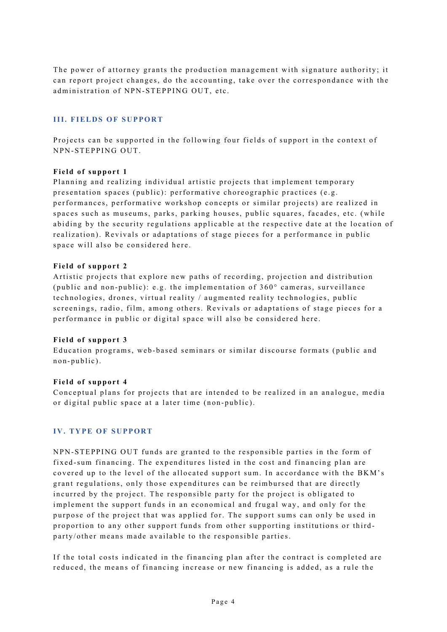The power of attorney grants the production management with signature authority; it can report project changes, do the accounting, take over the correspondance with the administration of NPN-STEPPING OUT, etc.

## <span id="page-3-0"></span>**III. FIELDS OF SUPPORT**

Projects can be supported in the following four fields of support in the context of NPN-STEPPING OUT.

## **Field of support 1**

Planning and realizing individual artistic projects that implement temporary presentation spaces (public): performative choreographic practices (e.g. performances, performative workshop concepts or similar projects) are realized in spaces such as museums, parks, parking houses, public squares, facades, etc. (while abiding by the security regulations applicable at the respective date at the location of realization). Revivals or adaptations of stage pieces for a performance in public space will also be considered here.

## **Field of support 2**

Artistic projects that explore new paths of recording, projection and distribution (public and non - public): e.g. the implementation of 360° cameras, surveillance technologies, drones, virtual reality / augmented reality technologies, public screenings, radio, film, among others. Revivals or adaptations of stage pieces for a performance in public or digital space will also be considered here .

## **Field of support 3**

Education programs, web - based seminars or similar discourse formats (public and non - public).

## **Field of support 4**

Conceptual plans for projects that are intended to be realized in an analogue, media or digital public space at a later time (non-public).

# <span id="page-3-1"></span>**IV. TYPE OF SUPPORT**

NPN-STEPPING OUT funds are granted to the responsible parties in the form of fixed -sum financing. The expenditures listed in the cost and financing plan are covered up to the level of the allocated support sum. In accordance with the BKM's grant regulations, only those expenditures can be reimbursed that are directly incurred by the project. The responsible party for the project is obligated to implement the support funds in an economical and frugal way, and only for the purpose of the project that was applied for. The support sums can only be used in proportion to any other support funds from other supporting institutions or third party/other means made available to the responsible parties.

If the total costs indicated in the financing plan after the contract is completed are reduce d, the means of financing increase or new financing is added, as a rule the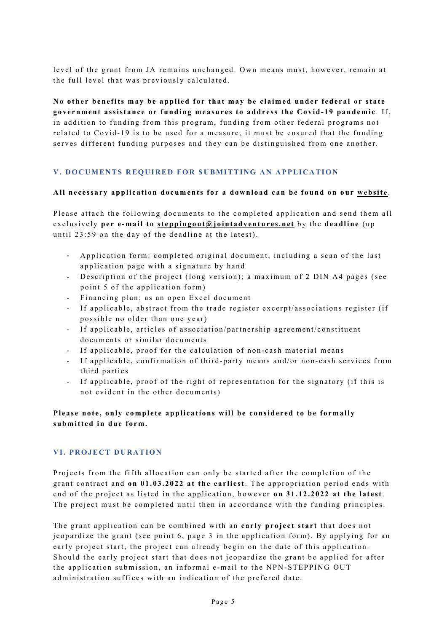level of the grant from JA remains unchanged. Own means must, however, remain at the full level that was previously calculated.

**No other benefits may be applied for that may be claimed under federal or state government assistance or funding measures to address the Covid-19 pandemic** . If, in addition to funding from this program, funding from other federal programs not related to Covid -19 is to be used for a measure, it must be ensured that the funding serves different funding purposes and they can be distinguished from one another.

## <span id="page-4-0"></span>**V. DOCUMENTS REQUIRED FOR SUBMITTING AN APPLICATION**

## **All necessary application documents for a download can be found on our [website](https://www.jointadventures.net/en/nationales-performance-netz/stepping-out/)** .

Please attach the following documents to the completed application and send them all exclusively **per e -mail to steppingout@jointadventures.net** by the **deadline** (up until 23:59 on the day of the deadline at the latest).

- [Application form:](https://www.jointadventures.net/fileadmin/user_upload/ja/texte_formulare_en/npn_step_forms/NPN_Step_Application_Form.pdf) completed original document, including a scan of the last application page with a signature by hand
- Description of the project (long version); a maximum of 2 DIN A4 pages (see point 5 of the application form)
- [Financing plan](https://www.jointadventures.net/fileadmin/user_upload/ja/texte_formulare_en/npn_step_forms/NPN_Step_Finance_Plan_Template.xls): as an open Excel document
- If applicable, abstract from the trade register excerpt/associations register (if possible no older than one year)
- If applicable, articles of association/partnership agreement/constituent documents or similar documents
- If applicable, proof for the calculation of non-cash material means
- If applicable, confirmation of third-party means and/or non-cash services from third parties
- If applicable, proof of the right of representation for the signatory (if this is not evident in the other documents)

## **Please note, only complete applications will be considered to be formally submitted in due form.**

## <span id="page-4-1"></span>**VI. PROJECT DURATION**

Projects from the fifth allocation can only be started after the completion of the grant contract and **on 01.03.2022 at the earliest**. The appropriation period ends with end of the project as listed in the application, however **on 31.12.2022 at the latest**. The project must be completed until then in accordance with the funding principles.

The grant application can be combined with an **early project start** that does not jeopardize the grant (see point 6, page 3 in the application form). By applying for an early project start, the project can already begin on the date of this application. Should the early project start that does not jeopardize the grant be applied for after the application submission, an informal e -mail to the NPN-STEPPING OUT administration suffices with an indication of the prefered date.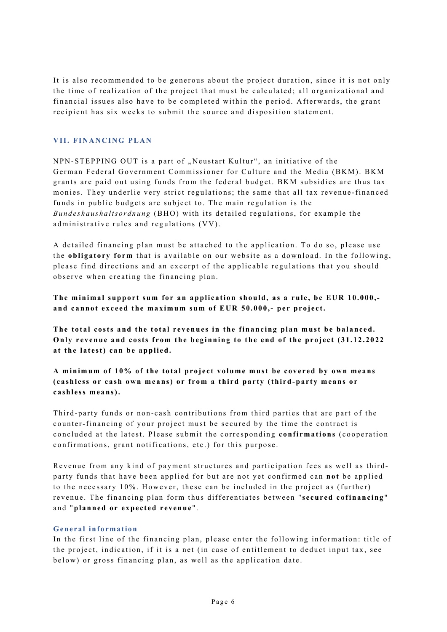It is also recommended to be generous about the project duration, since it is not only the time of realization of the project that must be calculated ; all organizational and financial issues also have to be completed within the period. Afterwards, the grant recipient has six weeks to submit the source and disposition statement.

## <span id="page-5-0"></span>**VII. FINANCING PLAN**

NPN-STEPPING OUT is a part of "Neustart Kultur", an initiative of the German Federal Government Commissioner for Culture and the Media (BKM). BKM grants are paid out using funds from the federal budget. BKM subsidies are thus tax monies. They underlie very strict regulations; the same that all tax revenue -financed funds in public budgets are subject to. The main regulation is the *Bundeshaushaltsordnung* (BHO) with its detailed regulations, for example the administrative rules and regulations (VV).

A detailed financing plan must be attached to the application. To do so, please use the **obligatory form** that is available on our website as a [download.](https://www.jointadventures.net/fileadmin/user_upload/ja/texte_formulare_en/npn_step_forms/NPN_Step_Finance_Plan_Template.xls) In the following, please find directions and an excerpt of the applicable regulations that you should observe when creating the financing plan.

**The minimal support sum for an application should, as a rule, be EUR 10.000, and cannot exceed the maximum sum of EUR 50.000,- per project.**

**The total costs and the total revenues in the financing plan must be balanced. Only revenue and costs from the beginning to the end of the project (31.12.2022 at the latest) can be applied.**

**A minimum of 10% of the total proj ect volume must be covered by own means (cashless or cash own means) or from a third party (third-party means or cashless means).**

Third -party funds or non - cash contributions from third parties that are part of the counter-financing of your project must be secured by the time the contract is concluded at the latest. Please submit the corresponding **confirmations** (cooperation confirmations, grant notifications, etc.) for this purpose.

Revenue from any kind of payment structures and participation fees as well as third party funds that have been applied for but are not yet confirmed can **not** be applied to the necessary 10%. However, these can be included in the project as (further) revenue. The financing plan form thus differentiates between " **secured cofinancing** " and "planned or expected revenue".

## <span id="page-5-1"></span>**General information**

In the first line of the financing plan, please enter the following information: title of the project, indication, if it is a net (in case of entitlement to deduct input tax, see below) or gross financing plan, as well as the application date.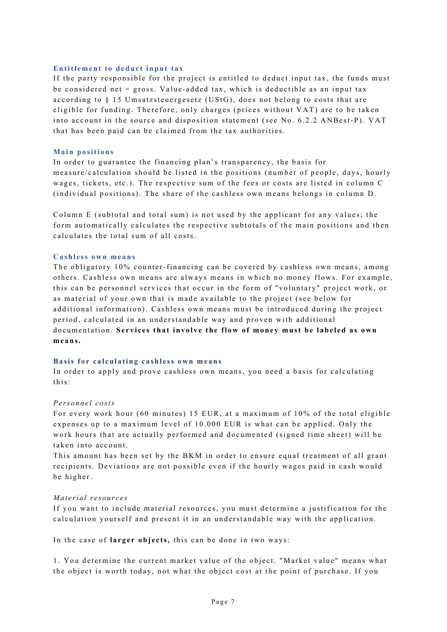#### <span id="page-6-0"></span>**Entitlement to deduct input tax**

If the party responsible for the project is entitled to deduct input tax, the funds must be considered net = gross. Value-added tax, which is deductible as an input tax according to § 15 Umsatzsteuergesetz (UStG), does not belong to costs that are eligible for funding. Therefore, only charges (prices without VAT) are to be taken into account in the source and disposition statement (see No. 6.2.2 ANBest-P). VAT that has been paid can be claimed from the tax authorities.

#### <span id="page-6-1"></span>**Main positions**

In order to guarantee the financing plan's transparency, the basis for measure/calculation should be listed in the positions (number of people, days, hourly wages, tickets, etc.). The respective sum of the fees or costs are listed in column C (individual positions). The share of the cashless own means belongs in column D.

Column E (subtotal and total sum) is not used by the applicant for any values; the form automatically calculates the respective subtotals of the main positions and then calculates the total sum of all costs.

#### <span id="page-6-2"></span>**Cashless own means**

The obligatory 10% counter-financing can be covered by cashless own means, among others. Cashless own means are always means in which no money flows. For example, this can be personnel services that occur in the form of "voluntary" project work, or as material of your own that is made available to the project (see below for additional information). Cashless own means must be introduced during the project period, calculated in an understandable way and proven with additional documentation. **Services that involve the flow of money must be labeled as own means.**

## <span id="page-6-3"></span>**Basis for calculating cashless own means**

In order to apply and prove cashless own means, you need a basis for calculating this:

#### *Personnel costs*

For every work hour (60 minutes) 15 EUR, at a maximum of 10% of the total eligible expenses up to a maximum level of 10.000 EUR is what can be applied. Only the work hours that are actually performed and documented (signed time sheet) will be taken into account.

This amount has been set by the BKM in order to ensure equal treatment of all grant recipients. Deviations are not possible even if the hourly wages paid in cash would be higher.

## *Material resources*

If you want to include material resources, you must determine a justification for the calculation yourself and present it in an understandable way with the application.

In the case of **larger objects,** this can be done in two ways:

1. You determine the current market value of the object. "Market value" means what the object is worth today, not what the object cost at the point of purchase. If you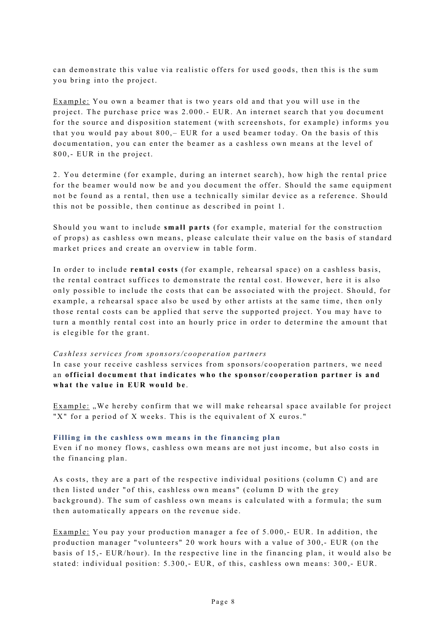can demonstrate this value via realistic offers for used goods, then this is the sum you bring into the project.

Example : You own a beamer that is two years old and that you will use in the project. The purchase price was 2.000.- EUR. An internet search that you document for the source and disposition statement (with screenshots, for example) informs you that you would pay about 800, – EUR for a used beamer today. On the basis of this documentation, you can enter the beamer as a cashless own means at the level of 800,- EUR in the project.

2. You determine (for example, during an internet search ), how high the rental price for the beamer would now be and you document the offer. Should the same equipment not be found as a rental, then use a technically similar device as a reference. Should this not be possible, then continue as described in point 1.

Should you want to include **small parts** (for example, material for the construction of props) as cashless own means, please calculate their value on the basis of standard market prices and create an overview in table form.

In order to include **rental costs** (for example, rehearsal space) on a cashless basis, the rental contract suffices to demonstrate the rental cost. However, here it is also only possible to include the costs that can be associated with the project. Should, for example, a rehearsal space also be used by other artists at the same time, then only those rental costs can be applied that serve the supported project. You may have to turn a monthly rental cost into an hourly price in order to determine the amount that is elegible for the grant.

#### *Cashless services from sponsors/cooperation partners*

In case your receive cashless services from sponsors/cooperation partners, we need an **official document that indicates who the sponsor/cooperation partner is and what the value in EUR would be** .

Example: "We hereby confirm that we will make rehearsal space available for project "X" for a period of X weeks. This is the equivalent of X euros."

#### <span id="page-7-0"></span>**Filling in the cashless own means in the financing plan**

Even if no money flows, cashless own means are not just income, but also costs in the financing plan.

As costs, they are a part of the respective individual positions (column C) and are then listed under "of this, cashless own means" (column D with the grey background). The sum of cashless own means is calculated with a formula; the sum then automatically appears on the revenue side.

Example: You pay your production manager a fee of 5.000,- EUR. In addition, the production manager "volunteers" 20 work hours with a value of 300,- EUR (on the basis of 15,- EUR/hour). In the respective line in the financing plan, it would also be stated: individual position: 5.300,- EUR, of this, cashless own means: 300,- EUR.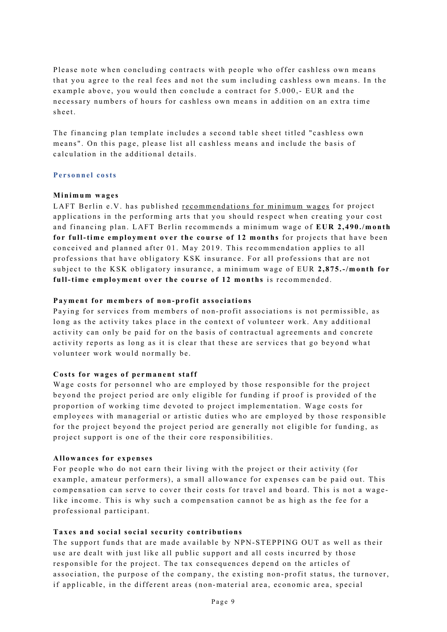Please note when concluding contracts with people who offer cashless own means that you agree to the real fees and not the sum including cashless own means. In the example above, you would then conclude a contract for 5.000,- EUR and the necessary numbers of hours for cashless own means in addition on an extra time sheet.

The financing plan template includes a second table sheet titled "cashless own means". On this page, please list all cashless means and include the basis of calculation in the additional details.

#### <span id="page-8-0"></span>**Personnel costs**

## **Minimum wages**

LAFT Berlin e.V. has published [recommendations for minimum wages](https://www.laft-berlin.de/honoraruntergrenze/) for project applications in the performing arts that you should respect when creating your cost and financing plan. LAFT Berlin recommends a minimum wage of **EUR 2,490./month for full-time employment over the course of 12 months** for projects that have been conceived and planned after 01. May 2019. This recommendation applies to all professions that have obligatory KSK insurance. For all professions that are not subject to the KSK obligatory insurance, a minimum wage of EUR **2,8 7 5 .-/month for full-time employment over the course of 12 months** is recommended.

## **Payment for members of non-profit associations**

Paying for services from members of non - profit associations is not permissible, as long as the activity takes place in the context of volunteer work. Any additional activity can only be paid for on the basis of contractual agreements and concrete activity reports as long as it is clear that these are services that go beyond what volunteer work would normally be.

## **Costs for wages of permanent staff**

Wage costs for personnel who are employed by those responsible for the project beyond the project period are only eligible for funding if proof is provided of the proportion of working time devoted to project implementation. Wage costs for employees with managerial or artistic duties who are employed by those responsible for the project beyond the project period are generally not eligible for funding, as project support is one of the their core responsibilities.

#### **Allowances for expenses**

For people who do not earn their living with the project or their activity (for example, amateur performers), a small allowance for expenses can be paid out. This compensation can serve to cover their costs for travel and board. This is not a wage like income. This is why such a compensation cannot be as high as the fee for a professional participant.

## **Taxes and social social security contributions**

The support funds that are made available by NPN-STEPPING OUT as well as their use are dealt with just like all public support and all costs incurred by those responsible for the project. The tax consequences depend on the articles of association, the purpose of the company, the existing non- profit status, the turnover, if applicable, in the different areas (non -material area, economic area, special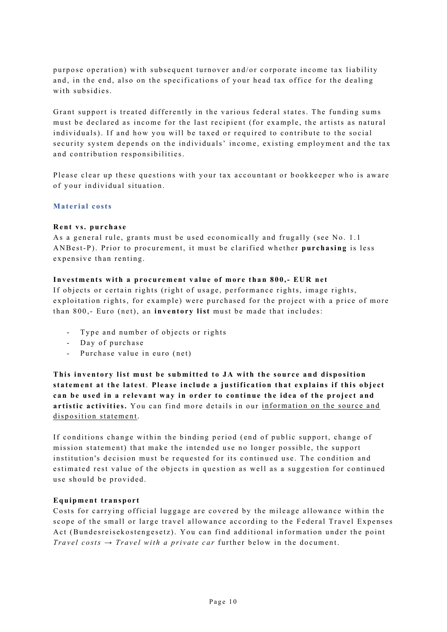purpose operation) with subsequent turnover and/or corporate income tax liability and, in the end, also on the specifications of your head tax office for the dealing with subsidies.

Grant support is treated differently in the various federal states. The funding sums must be declared as income for the last recipient (for example , the artists as natural individuals). If and how you will be taxed or required to contribute to the social security system depends on the individuals' income, existing employment and the tax and contribution responsibilities.

Please clear up these questions with your tax accountant or bookkeeper who is aware of your individual situation.

## <span id="page-9-0"></span>**Material costs**

## **Rent vs. purchase**

As a general rule, grants must be used economically and frugally (see No. 1.1 ANBest-P). Prior to procurement, it must be clarified whether **purchasing** is less expensive than renting.

## **Investments with a procurement value of more than 800,- EUR net**

If objects or certain rights (right of usage, performance rights, image rights, exploitation rights, for example) were purchased for the project with a price of more than 800,- Euro (net), an **inventory list** must be made that includes:

- Type and number of objects or rights
- Day of purchase
- Purchase value in euro (net)

**This inventory list must be submitted to JA with the source and disposition statement at the latest**. **Please include a justification that explains if this object can be used in a relevant way in order to continue the idea of the project and**  artistic activities. You can find more details in our information on the source and [disposition statement.](https://www.jointadventures.net/fileadmin/user_upload/ja/texte_formulare_en/npn_step_forms/NPN_Step_Hinweise_zum_VWN_EN.pdf)

If conditions change within the binding period (end of public support, change of mission statement) that make the intended use no longer possible, the support institution's decision must be requested for its continued use. The condition and estimated rest value of the objects in question as well as a suggestion for continued use should be provided.

## **Equipment transport**

Costs for carrying official luggage are covered by the mileage allowance within the scope of the small or large travel allowance according to the Federal Travel Expenses Act (Bundesreisekostengesetz). You can find additional information under the point *Travel costs → Travel with a private car* further below in the document.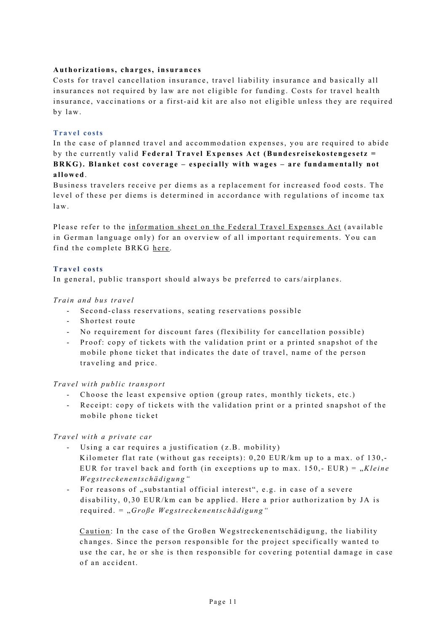## **Authorizations, charges, insurances**

Costs for travel cancellation insurance, travel liability insurance and basically all insurances not required by law are not eligible for funding. Costs for travel health insurance, vaccinations or a first- aid kit are also not eligible unless they are required by law.

#### <span id="page-10-0"></span>**Travel costs**

In the case of planned travel and accommodation expenses, you are required to abide by the currently valid **Federal Travel Expenses Act (Bundesreisekostengesetz = BRKG). Blanket cost coverage – especially with wages – are fundamentally not allowed**.

Business travelers receive per diems as a replacement for increased food costs. The level of these per diems is determined in accordance with regulations of income tax law.

Please refer to the [information sheet on the Federal Travel Expenses Act](https://www.jointadventures.net/fileadmin/user_upload/ja/texte_formulare_de/npn_step_formulare/BRKG_Merkblatt_Bundesreisekostengesetz.pdf) (available in German language only) for an overview of all important requirements. You can find the complete BRKG [here](http://www.gesetze-im-internet.de/).

## <span id="page-10-1"></span>**Travel costs**

In general, public transport should always be preferred to cars/airplanes.

## *Train and bus travel*

- Second-class reservations, seating reservations possible
- Shortest route
- No requirement for discount fares (flexibility for cancellation possible)
- Proof: copy of tickets with the validation print or a printed snapshot of the mobile phone ticket that indicates the date of travel, name of the person traveling and price.

## *Travel with public transport*

- Choose the least expensive option ( group rates, monthly tickets, etc.)
- Receipt: copy of tickets with the validation print or a printed snapshot of the mobile phone ticket

## *Travel with a private car*

- Using a car requires a justification (z.B. mobility) Kilometer flat rate (without gas receipts):  $0,20$  EUR/km up to a max. of 130,-EUR for travel back and forth (in exceptions up to max. 150,- EUR) = "Kleine *Wegstreckenentschädigun g "*
- For reasons of "substantial official interest", e.g. in case of a severe disability, 0,30 EUR/km can be applied. Here a prior authorization by JA is required . = "*Große Wegstreckenentschädigung"*

Caution: In the case of the Großen Wegstreckenentschädigung, the liability changes. Since the person responsible for the project specifically wanted to use the car, he or she is then responsible for covering potential damage in case of an accident.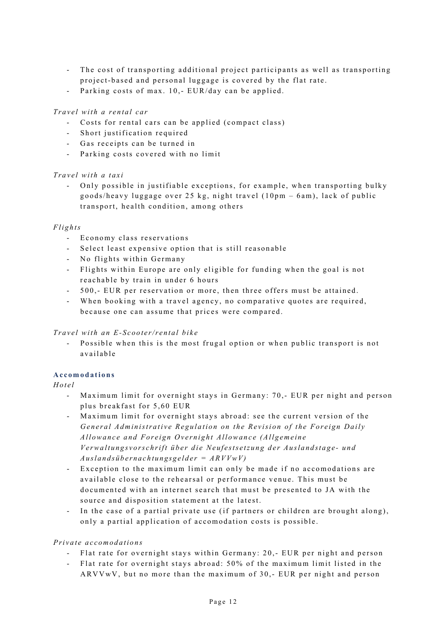- The cost of transporting additional project participants as well as transporting project- based and personal luggage is covered by the flat rate.
- Parking costs of max. 10,- EUR/day can be applied.

# *Travel with a rental car*

- Costs for rental cars can be applied (compact class)
- Short justification required
- Gas receipts can be turned in
- Parking costs covered with no limit

## *Travel with a taxi*

Only possible in justifiable exceptions, for example, when transporting bulky goods/heavy luggage over 25 kg, night travel ( 10pm – 6am), lack of public transport, health condition, among others

## *Flights*

- Economy class reservations
- Select least expensive option that is still reasonable
- No flights within Germany
- Flights within Europe are only eligible for funding when the goal is not reachable by train in under 6 hours
- 500,- EUR per reservation or more, then three offers must be attained.
- When booking with a travel agency, no comparative quotes are required, because one can assume that prices were compared .

## *Travel with an E-Scooter/rental bike*

- Possible when this is the most frugal option or when public transport is not available

# <span id="page-11-0"></span>**Accomodations**

## *Hotel*

- Maximum limit for overnight stays in Germany: 70,- EUR per night and person plus breakfast for 5,60 EUR
- Maximum limit for overnight stays abroad: see the current version of the *General Administrative Regulation on the Revision of the Foreign Daily Allowance and Foreign Overnight Allowance (Allgemeine Verwaltungsvorschrift über die Neufestsetzung der Auslandstage - und Auslands übernachtungsgelder = ARVVwV)*
- Exception to the maximum limit can only be made if no accomodations are available close to the rehearsal or performance venue. This must be documented with an internet search that must be presented to JA with the source and disposition statement at the latest.
- In the case of a partial private use (if partners or children are brought along), only a partial application of accomodation costs is possible.

## *Private accomodations*

- Flat rate for overnight stays within Germany: 20,- EUR per night and person
- Flat rate for overnight stays abroad : 50% of the maximum limit listed in the ARVVwV, but no more than the maximum of 30,- EUR per night and person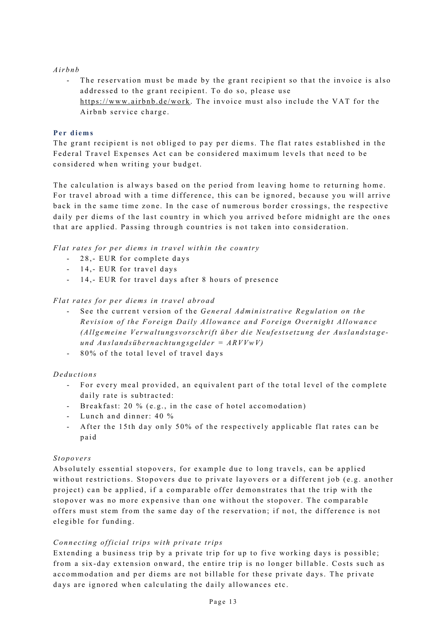## *Airbnb*

- The reservation must be made by the grant recipient so that the invoice is also addressed to the grant recipient. To do so, please use <https://www.airbnb.de/work>. The invoice must also include the VAT for the Airbnb service charge .

## <span id="page-12-0"></span>**Per diems**

The grant recipient is not obliged to pay per diems. The flat rates established in the Federal Travel Expenses Act can be considered maximum levels that need to be considered when writing your budget.

The calculation is always based on the period from leaving home to returning home. For travel abroad with a time difference, this can be ignored, because you will arrive back in the same time zone. In the case of numerous border crossings, the respective daily per diems of the last country in which you arrived before midnight are the ones that are applied. Passing through countries is not taken into consideration.

*Flat rates for per diems in travel within the country* 

- 28,- EUR for complete days
- 14,- EUR for travel days
- 14,- EUR for travel days after 8 hours of presence

## *Flat rates for per diems in travel abroad*

- See the current version of the *General Administrative Regulation on the Revision of the Foreign Daily Allowance and Foreign Overnight Allowance (Allgemeine Verwaltungsvorschrift über die Neufestsetzung der Auslandstage und Auslandsübernachtungsgelder = ARVVwV)*
- 80% of the total level of travel days

# *Deductions*

- For every meal provided, an equivalent part of the total level of the complete daily rate is subtracted:
- Breakfast: 20 % (e.g., in the case of hotel accomodation)
- Lunch and dinner: 40 %
- After the 15th day only 50% of the respectively applicable flat rates can be paid

## *Stopovers*

Absolutely essential stopovers, for example due to long travels, can be applied without restrictions. Stopovers due to private layovers or a different job (e.g. another project) can be applied, if a comparable offer demonstrates that the trip with the stopover was no more expensive than one without the stopover. The comparable offers must stem from the same day of the reservation; if not, the difference is not elegible for funding.

## *Connecting official trips with private trips*

Extending a business trip by a private trip for up to five working days is possible; from a six - day extension onward, the entire trip is no longer billable. Costs such as accommodation and per diems are not billable for these private days. The private days are ignored when calculating the daily allowances etc.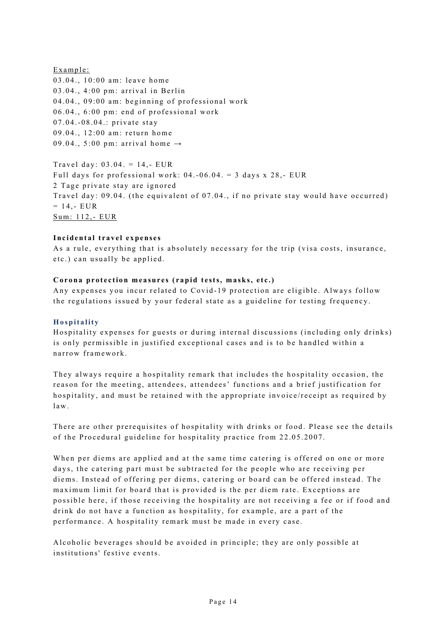Example: 03.04., 10:00 am: leave home  $03.04.$ ,  $4:00$  pm: arrival in Berlin 04.04., 09:00 am: beginning of professional work  $06.04$ .,  $6:00$  pm: end of professional work 07.04.-08.04.: private stay 09.04., 12:00 am: return home 09.04., 5:00 pm: arrival home  $\rightarrow$ 

Travel day:  $03.04 = 14$ . EUR Full days for professional work:  $04.-06.04. = 3$  days x 28,- EUR 2 Tage private stay are ignored Travel day: 09.04. (the equivalent of 07.04., if no private stay would have occurred)  $= 14, - EUR$ Sum: 112,- EUR

## **Incidental travel expenses**

As a rule, everything that is absolutely necessary for the trip (visa costs, insurance, etc.) can usually be applied.

## **Corona protection measures ( rapid tests, masks, etc.)**

Any expenses you incur related to Covid- 19 protection are eligible. Always follow the regulations issued by your federal state as a guideline for testing frequency.

## <span id="page-13-0"></span>**Hospitality**

Hospitality expenses for guests or during internal discussions (including only drinks) is only permissible in justified exceptional cases and is to be handled within a narrow framework.

They always require a hospitality remark that includes the hospitality occasion, the reason for the meeting, attendees, attendees' functions and a brief justification for hospitality, and must be retained with the appropriate invoice/receipt as required by law.

There are other prerequisites of hospitality with drinks or food. Please see the details of the Procedural guideline for hospitality practice from 22.05.2007.

When per diems are applied and at the same time catering is offered on one or more days, the catering part must be subtracted for the people who are receiving per diems. Instead of offering per diems, catering or board can be offered instead. The maximum limit for board that is provided is the per diem rate. Exceptions are possible here, if those receiving the hospitality are not receiving a fee or if food and drink do not have a function as hospitality, for example, are a part of the performance. A hospitality remark must be made in every case.

Alcoholic beverages should be avoided in principle; they are only possible at institutions' festive events.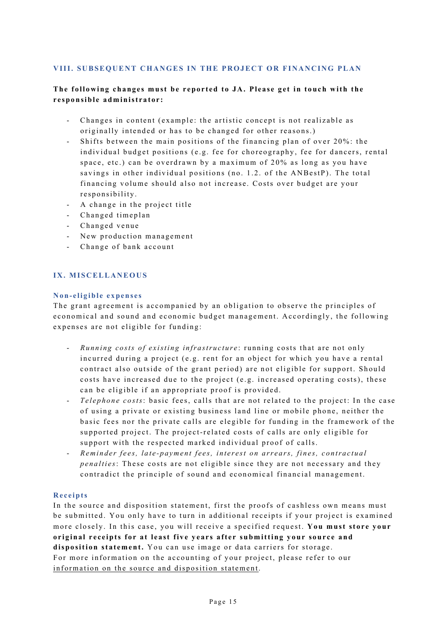## <span id="page-14-0"></span>VIII. SUBSEQUENT CHANGES IN THE PROJECT OR FINANCING PLAN

# **The following changes must be reported to JA. Please get in touch with the responsible administrator:**

- Changes in content (example: the artistic concept is not realizable as originally intended or has to be changed for other reasons.)
- Shifts between the main positions of the financing plan of over 20%: the individual budget positions (e.g. fee for choreography, fee for dancers, rental space, etc.) can be overdrawn by a maximum of 20% as long as you have savings in other individual positions (no. 1.2. of the ANBestP). The total financing volume should also not increase. Costs over budget are your responsibility.
- A change in the project title
- Changed timeplan
- Changed venue
- New production management
- Change of bank account

## <span id="page-14-1"></span>**I X. MISCELLANEOUS**

## <span id="page-14-2"></span>**Non- eligible expenses**

The grant agreement is accompanied by an obligation to observe the principles of economical and sound and economic budget management. Accordingly, the following expenses are not eligible for funding:

- *Running costs of existing infrastructure* : running costs that are not only incurred during a project (e.g. rent for an object for which you have a rental contract also outside of the grant period) are not eligible for support. Should costs have increased due to the project (e.g. increased operating costs), these can be eligible if an appropriate proof is provided.
- *Telephone co sts*: basic fees, calls that are not related to the project: In the case of using a private or existing business land line or mobile phone, neither the basic fees nor the private calls are elegible for funding in the framework of the supported project. The project-related costs of calls are only eligible for support with the respected marked individual proof of calls.
- *Reminder fees, late - payment fees, interest on arrears, fines, contractual penalties*: These costs are not eligible since they are not necessary and they contradict the principle of sound and economical financial management.

## <span id="page-14-3"></span>**Receipts**

In the source and disposition statement, first the proofs of cashless own means must be submitted. You only have to turn in additional receipts if your project is examined more closely. In this case, you will receive a specified request. **You must store your original receipts for at least five years after submitting your source and disposition statement.** You can use image or data carriers for storage. For more information on the accounting of your project, please refer to our information o[n the source and disposition statement.](https://www.jointadventures.net/fileadmin/user_upload/ja/texte_formulare_en/npn_step_forms/NPN_Step_Hinweise_zum_VWN_EN.pdf)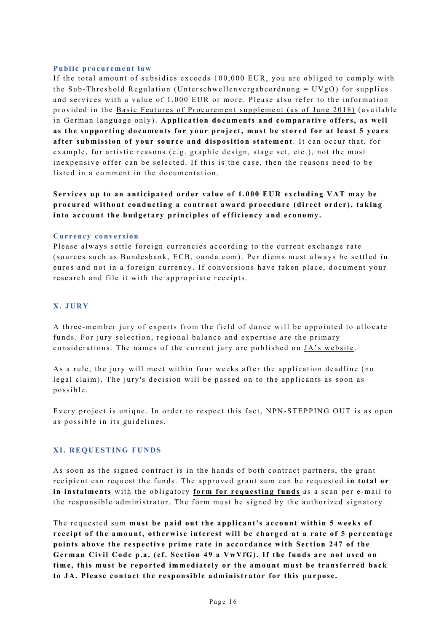#### <span id="page-15-0"></span>**Public procurement law**

If the total amount of subsidies exceeds 100,000 EUR, you are obliged to comply with the Sub-Threshold Regulation (Unterschwellenvergabeordnung =  $UVgO$ ) for supplies and services with a value of 1,000 EUR or more. Please also refer to the information provided in the Basic Features of Procurement supplement (as of June 2018) (available in German language only). **Application documents and comparative offers, as well as the supporting documents for your project, must be stored for at least 5 years after submission of your source and disposition statement**. It can occur that, for example, for artistic reasons (e.g. graphic design, stage set, etc.), not the most inexpensive offer can be selected. If this is the case, then the reasons need to be listed in a comment in the documentation.

**Services up to an anticipated order value of 1.000 EUR excluding VAT may be**  procured without conducting a contract award procedure (direct order), taking **into account the budgetary principles of efficiency and economy.**

#### <span id="page-15-1"></span>**Currency conversion**

Please always settle foreign currencies according to the current exchange rate (sources such as Bundesbank, ECB, oanda.com). Per diems must always be settled in euros and not in a foreign currency. If conversions have taken place, document your research and file it with the appropriate receipts.

## <span id="page-15-2"></span>**X. JURY**

A three -member jury of experts from the field of dance will be appointed to allocate funds. For jury selection, regional balance and expertise are the primary considerations. The names of the current jury are published on [JA's website](https://www.jointadventures.net/en/nationales-performance-netz/stepping-out/).

As a rule, the jury will meet within four weeks after the application deadline ( no legal claim). The jury's decision will be passed on to the applicants as soon as possible .

Every project is unique. In order to respect this fact, NPN-STEPPING OUT is as open as possible in its guidelines.

#### <span id="page-15-3"></span>**XI. REQUESTING FUNDS**

As soon as the signed contract is in the hands of both contract partners, the grant recipient can request the funds. The approved grant sum can be requested **in total or in instalments** with the obligatory **[form for requesting funds](https://www.jointadventures.net/fileadmin/user_upload/ja/texte_formulare_en/npn_step_forms/NPN_Step_Mittelanforderung_EN.doc)** as a scan per e -mail to the responsible administrator. The form must be signed by the authorized signatory.

The requested sum **must be paid out the applicant's account within 5 weeks of receipt of the amount, otherwise interest will be charged at a rate of 5 percentage points above the r espective prime rate in accordance with Section 247 of the German Civil Code p.a. (cf. Section 49 a VwVfG). If the funds are not used on time, this must be reported immediately or the amount must be transferred back to JA. Please contact the responsible administrator for this purpose.**